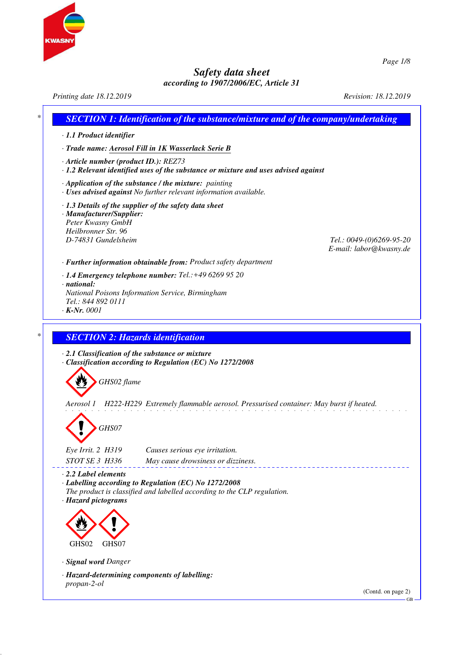

*Printing date 18.12.2019 Revision: 18.12.2019 \* SECTION 1: Identification of the substance/mixture and of the company/undertaking · 1.1 Product identifier · Trade name: Aerosol Fill in 1K Wasserlack Serie B · Article number (product ID.): REZ73 · 1.2 Relevant identified uses of the substance or mixture and uses advised against · Application of the substance / the mixture: painting · Uses advised against No further relevant information available. · 1.3 Details of the supplier of the safety data sheet · Manufacturer/Supplier: Peter Kwasny GmbH Heilbronner Str. 96 D-74831 Gundelsheim Tel.: 0049-(0)6269-95-20 E-mail: labor@kwasny.de · Further information obtainable from: Product safety department · 1.4 Emergency telephone number: Tel.:+49 6269 95 20 · national: National Poisons Information Service, Birmingham Tel.: 844 892 0111 · K-Nr. 0001 \* SECTION 2: Hazards identification · 2.1 Classification of the substance or mixture · Classification according to Regulation (EC) No 1272/2008 GHS02 flame Aerosol 1 H222-H229 Extremely flammable aerosol. Pressurised container: May burst if heated. GHS07 Eye Irrit. 2 H319 Causes serious eye irritation. STOT SE 3 H336 May cause drowsiness or dizziness. · 2.2 Label elements · Labelling according to Regulation (EC) No 1272/2008 The product is classified and labelled according to the CLP regulation. · Hazard pictograms* GHS02 GHS07 *· Signal word Danger · Hazard-determining components of labelling: propan-2-ol* (Contd. on page 2) GB

*Page 1/8*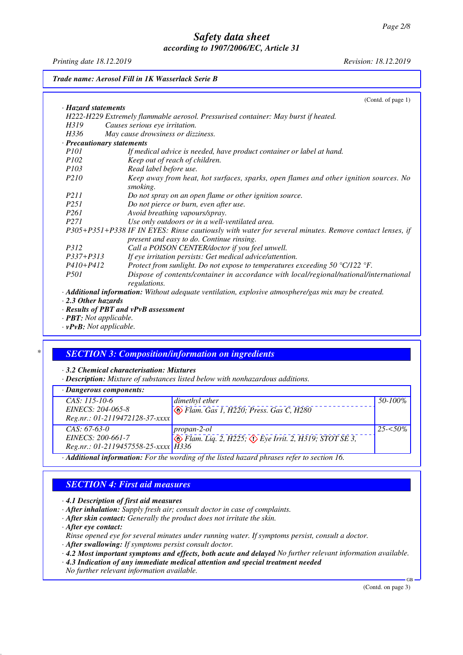*Printing date 18.12.2019 Revision: 18.12.2019*

*Trade name: Aerosol Fill in 1K Wasserlack Serie B*

### *\* SECTION 3: Composition/information on ingredients*

*· 3.2 Chemical characterisation: Mixtures*

*· Description: Mixture of substances listed below with nonhazardous additions.*

|  |  | $\cdot$ Dangerous components: |
|--|--|-------------------------------|
|--|--|-------------------------------|

| <i>Bangerous components.</i>                                                             |                                                                                        |             |
|------------------------------------------------------------------------------------------|----------------------------------------------------------------------------------------|-------------|
| $CAS: 115-10-6$                                                                          | dimethyl ether                                                                         | 50-100%     |
| EINECS: 204-065-8                                                                        | Elam. Gas 1, H220; Press. Gas C, H280                                                  |             |
| $Reg.nr.: 01-2119472128-37-xxxx$                                                         |                                                                                        |             |
| $CAS: 67-63-0$                                                                           | propan-2-ol                                                                            | $25 - 50\%$ |
| EINECS: 200-661-7                                                                        | $\leftrightarrow$ Flam. Liq. 2, H225; $\leftrightarrow$ Eye Irrit. 2, H319; STOT SE 3, |             |
| $Reg.nr.: 01-2119457558-25-xxxx$ H336                                                    |                                                                                        |             |
| Additional information: For the wording of the listed hazard phrases refer to section 16 |                                                                                        |             |

*· Additional information: For the wording of the listed hazard phrases refer to section 16.*

# *SECTION 4: First aid measures*

*· 4.1 Description of first aid measures*

- *· After inhalation: Supply fresh air; consult doctor in case of complaints.*
- *· After skin contact: Generally the product does not irritate the skin.*

*· After eye contact:*

*Rinse opened eye for several minutes under running water. If symptoms persist, consult a doctor.*

*· After swallowing: If symptoms persist consult doctor.*

*· 4.2 Most important symptoms and effects, both acute and delayed No further relevant information available.*

- *· 4.3 Indication of any immediate medical attention and special treatment needed*
- *No further relevant information available.*

(Contd. on page 3)

GB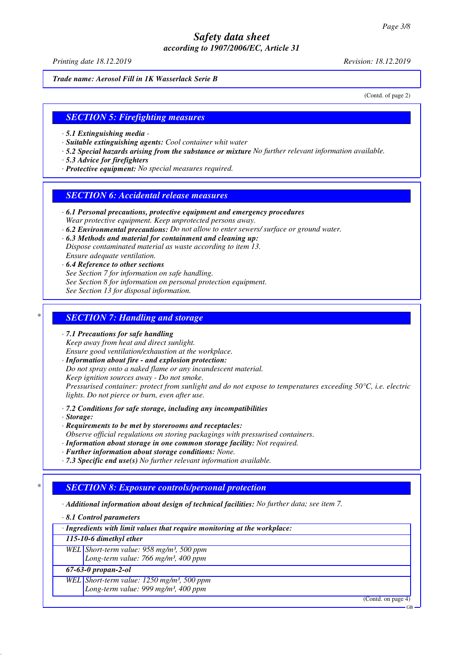*Printing date 18.12.2019 Revision: 18.12.2019*

*Trade name: Aerosol Fill in 1K Wasserlack Serie B*

(Contd. of page 2)

#### *SECTION 5: Firefighting measures*

- *· 5.1 Extinguishing media*
- *· Suitable extinguishing agents: Cool container whit water*
- *· 5.2 Special hazards arising from the substance or mixture No further relevant information available.*
- *· 5.3 Advice for firefighters*
- *· Protective equipment: No special measures required.*

#### *SECTION 6: Accidental release measures*

- *· 6.1 Personal precautions, protective equipment and emergency procedures Wear protective equipment. Keep unprotected persons away.*
- *· 6.2 Environmental precautions: Do not allow to enter sewers/ surface or ground water.*
- *· 6.3 Methods and material for containment and cleaning up: Dispose contaminated material as waste according to item 13. Ensure adequate ventilation.*
- *· 6.4 Reference to other sections See Section 7 for information on safe handling. See Section 8 for information on personal protection equipment. See Section 13 for disposal information.*

#### *\* SECTION 7: Handling and storage*

- *· 7.1 Precautions for safe handling Keep away from heat and direct sunlight. Ensure good ventilation/exhaustion at the workplace.*
- *· Information about fire and explosion protection:*

*Do not spray onto a naked flame or any incandescent material.*

*Keep ignition sources away - Do not smoke.*

*Pressurised container: protect from sunlight and do not expose to temperatures exceeding 50°C, i.e. electric lights. Do not pierce or burn, even after use.*

- *· 7.2 Conditions for safe storage, including any incompatibilities*
- *· Storage:*
- *· Requirements to be met by storerooms and receptacles:*
- *Observe official regulations on storing packagings with pressurised containers.*
- *· Information about storage in one common storage facility: Not required.*
- *· Further information about storage conditions: None.*
- *· 7.3 Specific end use(s) No further relevant information available.*

# *\* SECTION 8: Exposure controls/personal protection*

*· Additional information about design of technical facilities: No further data; see item 7.*

*· 8.1 Control parameters*

*· Ingredients with limit values that require monitoring at the workplace:*

*115-10-6 dimethyl ether*

*WEL Short-term value: 958 mg/m³, 500 ppm*

*Long-term value: 766 mg/m³, 400 ppm*

# *67-63-0 propan-2-ol*

*WEL Short-term value: 1250 mg/m³, 500 ppm*

*Long-term value: 999 mg/m³, 400 ppm*

(Contd. on page 4)

GB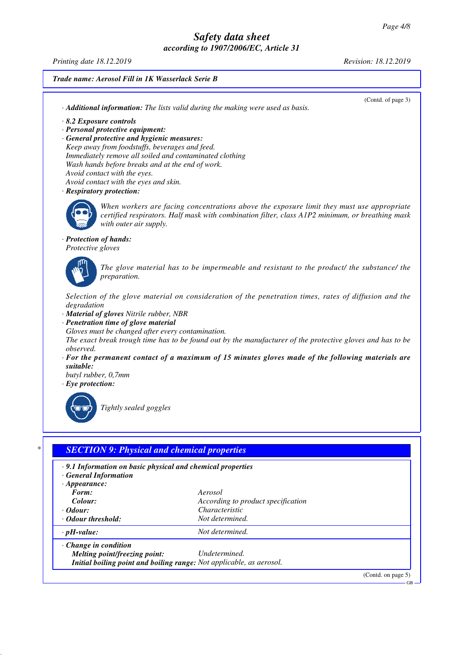*Printing date 18.12.2019 Revision: 18.12.2019*

*Trade name: Aerosol Fill in 1K Wasserlack Serie B*

(Contd. of page 3)

*· 8.2 Exposure controls*

*· Personal protective equipment:*

*· General protective and hygienic measures: Keep away from foodstuffs, beverages and feed. Immediately remove all soiled and contaminated clothing Wash hands before breaks and at the end of work. Avoid contact with the eyes.*

*· Additional information: The lists valid during the making were used as basis.*

- *Avoid contact with the eyes and skin.*
- *· Respiratory protection:*



*When workers are facing concentrations above the exposure limit they must use appropriate certified respirators. Half mask with combination filter, class A1P2 minimum, or breathing mask with outer air supply.*

#### *· Protection of hands:*

*Protective gloves*



*The glove material has to be impermeable and resistant to the product/ the substance/ the preparation.*

*Selection of the glove material on consideration of the penetration times, rates of diffusion and the degradation*

- *· Material of gloves Nitrile rubber, NBR*
- *· Penetration time of glove material*

*Gloves must be changed after every contamination.*

*The exact break trough time has to be found out by the manufacturer of the protective gloves and has to be observed.*

*· For the permanent contact of a maximum of 15 minutes gloves made of the following materials are suitable:*

*butyl rubber, 0,7mm · Eye protection:*



*Tightly sealed goggles*

| .9.1 Information on basic physical and chemical properties<br>· General Information |                                    |  |
|-------------------------------------------------------------------------------------|------------------------------------|--|
| $\cdot$ Appearance:                                                                 |                                    |  |
| Form:                                                                               | Aerosol                            |  |
| Colour:                                                                             | According to product specification |  |
| $\cdot$ Odour:                                                                      | Characteristic                     |  |
| • Odour threshold:                                                                  | Not determined.                    |  |
| $\cdot$ pH-value:                                                                   | Not determined.                    |  |
| $\cdot$ Change in condition                                                         |                                    |  |
| <i>Melting point/freezing point:</i>                                                | Undetermined.                      |  |
| Initial boiling point and boiling range: Not applicable, as aerosol.                |                                    |  |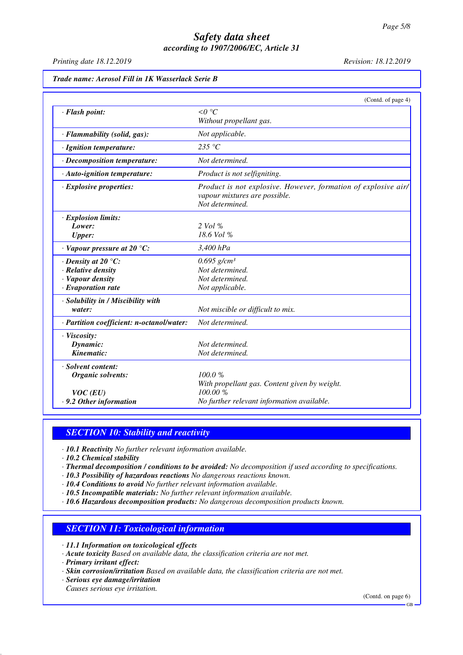*Printing date 18.12.2019 Revision: 18.12.2019*

|                                           | (Contd. of page 4)                                             |
|-------------------------------------------|----------------------------------------------------------------|
| · Flash point:                            | $\leq 0$ °C                                                    |
|                                           | Without propellant gas.                                        |
| · Flammability (solid, gas):              | Not applicable.                                                |
| · Ignition temperature:                   | 235 $\degree$ C                                                |
| · Decomposition temperature:              | Not determined.                                                |
| · Auto-ignition temperature:              | Product is not selfigniting.                                   |
| · Explosive properties:                   | Product is not explosive. However, formation of explosive air/ |
|                                           | vapour mixtures are possible.                                  |
|                                           | Not determined.                                                |
| · Explosion limits:                       |                                                                |
| Lower:                                    | 2 Vol %                                                        |
| <b>Upper:</b>                             | 18.6 Vol %                                                     |
| $\cdot$ Vapour pressure at 20 °C:         | 3,400 hPa                                                      |
| $\cdot$ Density at 20 °C:                 | $0.695$ g/cm <sup>3</sup>                                      |
| · Relative density                        | Not determined.                                                |
| · Vapour density                          | Not determined.                                                |
| $\cdot$ Evaporation rate                  | Not applicable.                                                |
| · Solubility in / Miscibility with        |                                                                |
| water:                                    | Not miscible or difficult to mix.                              |
| · Partition coefficient: n-octanol/water: | Not determined.                                                |
| · Viscosity:                              |                                                                |
| Dynamic:                                  | Not determined.                                                |
| Kinematic:                                | Not determined.                                                |
| · Solvent content:                        |                                                                |
| <b>Organic solvents:</b>                  | 100.0%                                                         |
|                                           | With propellant gas. Content given by weight.                  |
| $VOC$ (EU)                                | 100.00 %                                                       |
| .9.2 Other information                    | No further relevant information available.                     |

# *SECTION 10: Stability and reactivity*

*· 10.1 Reactivity No further relevant information available.*

*· 10.2 Chemical stability*

*· Thermal decomposition / conditions to be avoided: No decomposition if used according to specifications.*

- *· 10.3 Possibility of hazardous reactions No dangerous reactions known.*
- *· 10.4 Conditions to avoid No further relevant information available.*
- *· 10.5 Incompatible materials: No further relevant information available.*

*· 10.6 Hazardous decomposition products: No dangerous decomposition products known.*

# *SECTION 11: Toxicological information*

- *· 11.1 Information on toxicological effects*
- *· Acute toxicity Based on available data, the classification criteria are not met.*
- *· Primary irritant effect:*
- *· Skin corrosion/irritation Based on available data, the classification criteria are not met.*
- *· Serious eye damage/irritation*

*Causes serious eye irritation.*

(Contd. on page 6)

GB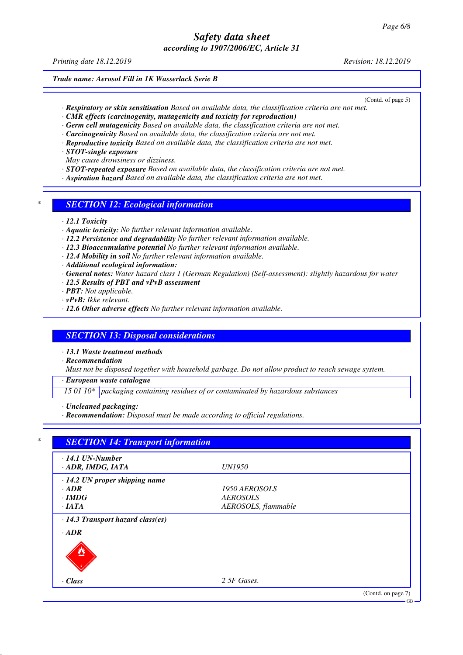*Printing date 18.12.2019 Revision: 18.12.2019*

#### *Trade name: Aerosol Fill in 1K Wasserlack Serie B*

(Contd. of page 5)

- *· Respiratory or skin sensitisation Based on available data, the classification criteria are not met.*
- *· CMR effects (carcinogenity, mutagenicity and toxicity for reproduction)*
- *· Germ cell mutagenicity Based on available data, the classification criteria are not met.*
- *· Carcinogenicity Based on available data, the classification criteria are not met.*
- *· Reproductive toxicity Based on available data, the classification criteria are not met.*
- *· STOT-single exposure*
- *May cause drowsiness or dizziness.*
- *· STOT-repeated exposure Based on available data, the classification criteria are not met.*
- *· Aspiration hazard Based on available data, the classification criteria are not met.*

#### *\* SECTION 12: Ecological information*

- *· 12.1 Toxicity*
- *· Aquatic toxicity: No further relevant information available.*
- *· 12.2 Persistence and degradability No further relevant information available.*
- *· 12.3 Bioaccumulative potential No further relevant information available.*
- *· 12.4 Mobility in soil No further relevant information available.*
- *· Additional ecological information:*
- *· General notes: Water hazard class 1 (German Regulation) (Self-assessment): slightly hazardous for water*
- *· 12.5 Results of PBT and vPvB assessment*
- *· PBT: Not applicable.*
- *· vPvB: Ikke relevant.*
- *· 12.6 Other adverse effects No further relevant information available.*

#### *SECTION 13: Disposal considerations*

*· 13.1 Waste treatment methods*

*· Recommendation*

*Must not be disposed together with household garbage. Do not allow product to reach sewage system.*

*· European waste catalogue*

*15 01 10\* packaging containing residues of or contaminated by hazardous substances*

- *· Uncleaned packaging:*
- *· Recommendation: Disposal must be made according to official regulations.*

| $\cdot$ 14.1 UN-Number               |                     |  |
|--------------------------------------|---------------------|--|
| · ADR, IMDG, IATA                    | <i>UN1950</i>       |  |
| $\cdot$ 14.2 UN proper shipping name |                     |  |
| $\cdot$ ADR                          | 1950 AEROSOLS       |  |
| $\cdot$ IMDG                         | <b>AEROSOLS</b>     |  |
| $\cdot$ IATA                         | AEROSOLS, flammable |  |
| $\cdot$ ADR                          |                     |  |
| $\cdot$ Class                        | 2 5F Gases.         |  |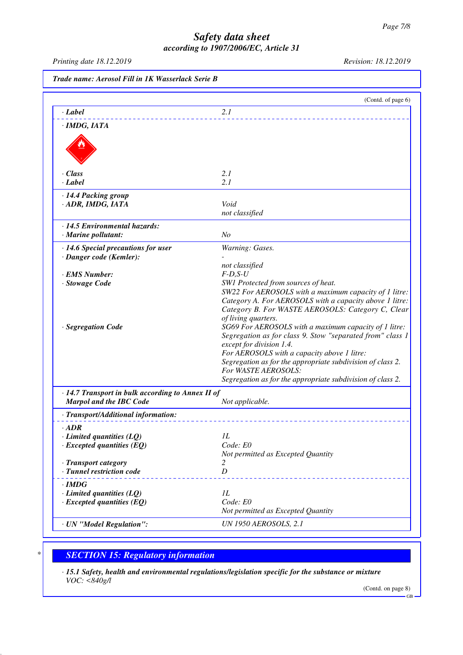*Printing date 18.12.2019 Revision: 18.12.2019*

|                                                         | (Contd. of page 6)                                                                           |
|---------------------------------------------------------|----------------------------------------------------------------------------------------------|
| · Label                                                 | 2.1                                                                                          |
| · IMDG, IATA                                            |                                                                                              |
|                                                         |                                                                                              |
| · Class                                                 | 2.1                                                                                          |
| $\cdot$ Label                                           | 2.1                                                                                          |
| · 14.4 Packing group                                    |                                                                                              |
| · ADR, IMDG, IATA                                       | Void                                                                                         |
|                                                         | not classified                                                                               |
| $\cdot$ 14.5 Environmental hazards:                     |                                                                                              |
| · Marine pollutant:                                     | N <sub>o</sub>                                                                               |
| · 14.6 Special precautions for user                     | Warning: Gases.                                                                              |
| · Danger code (Kemler):                                 |                                                                                              |
|                                                         | not classified                                                                               |
| <b>EMS</b> Number:                                      | $F-D, S-U$                                                                                   |
| · Stowage Code                                          | SW1 Protected from sources of heat.<br>SW22 For AEROSOLS with a maximum capacity of 1 litre: |
|                                                         | Category A. For AEROSOLS with a capacity above 1 litre:                                      |
|                                                         | Category B. For WASTE AEROSOLS: Category C, Clear                                            |
|                                                         | of living quarters.                                                                          |
| · Segregation Code                                      | SG69 For AEROSOLS with a maximum capacity of 1 litre:                                        |
|                                                         | Segregation as for class 9. Stow "separated from" class 1                                    |
|                                                         | except for division 1.4.                                                                     |
|                                                         | For AEROSOLS with a capacity above 1 litre:                                                  |
|                                                         | Segregation as for the appropriate subdivision of class 2.                                   |
|                                                         | For WASTE AEROSOLS:                                                                          |
|                                                         | Segregation as for the appropriate subdivision of class 2.                                   |
| $\cdot$ 14.7 Transport in bulk according to Annex II of |                                                                                              |
| <b>Marpol and the IBC Code</b>                          | Not applicable.                                                                              |
| · Transport/Additional information:                     |                                                                                              |
| $\cdot$ ADR                                             |                                                                                              |
| $\cdot$ Limited quantities (LQ)                         | IL                                                                                           |
| $\cdot$ Excepted quantities (EQ)                        | Code: E0                                                                                     |
|                                                         | Not permitted as Excepted Quantity                                                           |
| · Transport category                                    | 2                                                                                            |
| · Tunnel restriction code                               | D                                                                                            |
| $\cdot$ IMDG                                            |                                                                                              |
| $\cdot$ Limited quantities (LQ)                         | IL                                                                                           |
| $\cdot$ Excepted quantities (EQ)                        | Code: E0                                                                                     |
|                                                         | Not permitted as Excepted Quantity                                                           |
| · UN "Model Regulation":                                | <b>UN 1950 AEROSOLS, 2.1</b>                                                                 |

# *\* SECTION 15: Regulatory information*

*· 15.1 Safety, health and environmental regulations/legislation specific for the substance or mixture VOC: <840g/l*

(Contd. on page 8)

GB